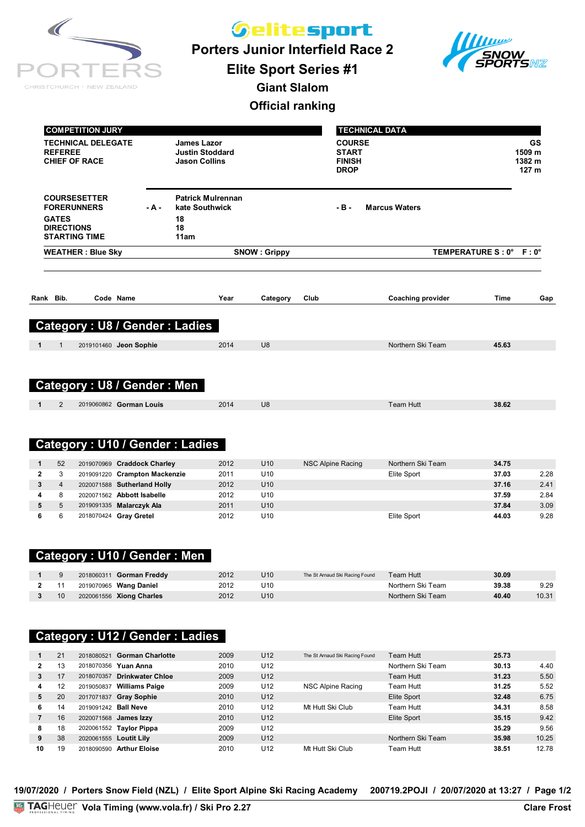| CHRISTCHURCH · NEW ZEALAND |
|----------------------------|

*Gelitesport* 

**Porters Junior Interfield Race 2**



**Elite Sport Series #1**

**Giant Slalom**

#### **Official ranking**

|                                                           | <b>COMPETITION JURY</b>              |                  |                                                                      |                     |      |                                                               | <b>TECHNICAL DATA</b>    |                         |                                            |
|-----------------------------------------------------------|--------------------------------------|------------------|----------------------------------------------------------------------|---------------------|------|---------------------------------------------------------------|--------------------------|-------------------------|--------------------------------------------|
| <b>REFEREE</b><br><b>CHIEF OF RACE</b>                    | <b>TECHNICAL DELEGATE</b>            |                  | <b>James Lazor</b><br><b>Justin Stoddard</b><br><b>Jason Collins</b> |                     |      | <b>COURSE</b><br><b>START</b><br><b>FINISH</b><br><b>DROP</b> |                          |                         | GS<br>1509 m<br>1382 m<br>127 <sub>m</sub> |
| <b>FORERUNNERS</b>                                        | <b>COURSESETTER</b>                  | - A -            | <b>Patrick Mulrennan</b><br>kate Southwick                           |                     |      | $-B -$                                                        | <b>Marcus Waters</b>     |                         |                                            |
| <b>GATES</b><br><b>DIRECTIONS</b><br><b>STARTING TIME</b> |                                      | 18<br>18<br>11am |                                                                      |                     |      |                                                               |                          |                         |                                            |
|                                                           | <b>WEATHER: Blue Sky</b>             |                  |                                                                      | <b>SNOW: Grippy</b> |      |                                                               |                          | TEMPERATURE S: 0° F: 0° |                                            |
| Bib.<br>Rank                                              | Code Name                            |                  | Year                                                                 | Category            | Club |                                                               | <b>Coaching provider</b> | <b>Time</b>             | Gap                                        |
|                                                           | <b>Category: U8 / Gender: Ladies</b> |                  |                                                                      |                     |      |                                                               |                          |                         |                                            |
| 1<br>$\mathbf{1}$                                         | 2019101460 Jeon Sophie               |                  | 2014                                                                 | U <sub>8</sub>      |      |                                                               | Northern Ski Team        | 45.63                   |                                            |
|                                                           |                                      |                  |                                                                      |                     |      |                                                               |                          |                         |                                            |
|                                                           | <b>Category: U8 / Gender: Men</b>    |                  |                                                                      |                     |      |                                                               |                          |                         |                                            |

### **Category : U10 / Gender : Ladies**

| 52             | 2019070969 Craddock Charley   | 2012 | U <sub>10</sub> | NSC Alpine Racing | Northern Ski Team | 34.75 |      |
|----------------|-------------------------------|------|-----------------|-------------------|-------------------|-------|------|
| 3              | 2019091220 Crampton Mackenzie | 2011 | U <sub>10</sub> |                   | Elite Sport       | 37.03 | 2.28 |
| $\overline{4}$ | 2020071588 Sutherland Holly   | 2012 | U <sub>10</sub> |                   |                   | 37.16 | 2.41 |
| 8              | 2020071562 Abbott Isabelle    | 2012 | U10             |                   |                   | 37.59 | 2.84 |
| 5              | 2019091335 Malarczyk Ala      | 2011 | U <sub>10</sub> |                   |                   | 37.84 | 3.09 |
| 6              | 2018070424 Gray Gretel        | 2012 | U10             |                   | Elite Sport       | 44.03 | 9.28 |

#### **Category : U10 / Gender : Men**

|    | 2018060311 <b>Gorman Freddy</b> | 2012 | U10             | The St Arnaud Ski Racing Found | Team Hutt_        | 30.09 |       |
|----|---------------------------------|------|-----------------|--------------------------------|-------------------|-------|-------|
|    | 2019070965 Wang Daniel          | 2012 | U10             |                                | Northern Ski Team | 39.38 | 9.29  |
| 10 | 2020061556 Xiong Charles        | 2012 | U <sub>10</sub> |                                | Northern Ski Team | 40.40 | 10.31 |

# **Category : U12 / Gender : Ladies**

|    | 21 |                        | 2018080521 Gorman Charlotte | 2009 | U <sub>12</sub> | The St Arnaud Ski Racing Found | Team Hutt         | 25.73 |       |
|----|----|------------------------|-----------------------------|------|-----------------|--------------------------------|-------------------|-------|-------|
| 2  | 13 |                        | 2018070356 Yuan Anna        | 2010 | U12             |                                | Northern Ski Team | 30.13 | 4.40  |
| 3  | 17 | 2018070357             | <b>Drinkwater Chloe</b>     | 2009 | U <sub>12</sub> |                                | Team Hutt         | 31.23 | 5.50  |
| 4  | 12 | 2019050837             | <b>Williams Paige</b>       | 2009 | U12             | NSC Alpine Racing              | Team Hutt         | 31.25 | 5.52  |
| 5  | 20 |                        | 2017071837 Gray Sophie      | 2010 | U <sub>12</sub> |                                | Elite Sport       | 32.48 | 6.75  |
| 6  | 14 | 2019091242 Ball Neve   |                             | 2010 | U <sub>12</sub> | Mt Hutt Ski Club               | Team Hutt         | 34.31 | 8.58  |
|    | 16 |                        | 2020071568 James Izzy       | 2010 | U <sub>12</sub> |                                | Elite Sport       | 35.15 | 9.42  |
| 8  | 18 | 2020061552             | <b>Taylor Pippa</b>         | 2009 | U <sub>12</sub> |                                |                   | 35.29 | 9.56  |
| 9  | 38 | 2020061555 Loutit Lily |                             | 2009 | U <sub>12</sub> |                                | Northern Ski Team | 35.98 | 10.25 |
| 10 | 19 | 2018090590             | <b>Arthur Eloise</b>        | 2010 | U <sub>12</sub> | Mt Hutt Ski Club               | Team Hutt         | 38.51 | 12.78 |

**19/07/2020 / Porters Snow Field (NZL) / Elite Sport Alpine Ski Racing Academy 200719.2POJI / 20/07/2020 at 13:27 / Page 1/2**